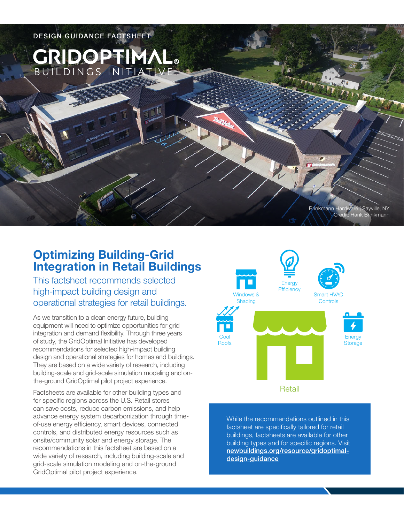

# **Optimizing Building-Grid Integration in Retail Buildings**

This factsheet recommends selected high-impact building design and operational strategies for retail buildings.

As we transition to a clean energy future, building equipment will need to optimize opportunities for grid integration and demand flexibility. Through three years of study, the GridOptimal Initiative has developed recommendations for selected high-impact building design and operational strategies for homes and buildings. They are based on a wide variety of research, including building-scale and grid-scale simulation modeling and onthe-ground GridOptimal pilot project experience.

Factsheets are available for other building types and for specific regions across the U.S. Retail stores can save costs, reduce carbon emissions, and help advance energy system decarbonization through timeof-use energy efficiency, smart devices, connected controls, and distributed energy resources such as onsite/community solar and energy storage. The recommendations in this factsheet are based on a wide variety of research, including building-scale and grid-scale simulation modeling and on-the-ground GridOptimal pilot project experience.



While the recommendations outlined in this factsheet are specifically tailored for retail buildings, factsheets are available for other building types and for specific regions. Visit [newbuildings.org/resource/gridoptimal](https://newbuildings.org/resource/gridoptimal-design-guidance)[design-guidance](https://newbuildings.org/resource/gridoptimal-design-guidance)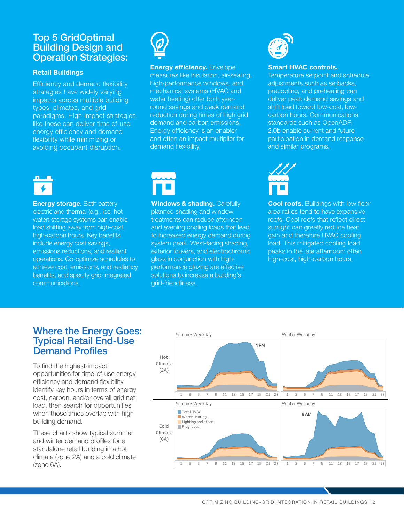## Top 5 GridOptimal Building Design and Operation Strategies:

### **Retail Buildings**

Efficiency and demand flexibility strategies have widely varying impacts across multiple building types, climates, and grid paradigms. High-impact strategies like these can deliver time of-use energy efficiency and demand flexibility while minimizing or avoiding occupant disruption.



## **Energy efficiency.** Envelope

measures like insulation, air-sealing, high-performance windows, and mechanical systems (HVAC and water heating) offer both yearround savings and peak demand reduction during times of high grid demand and carbon emissions. Energy efficiency is an enabler and often an impact multiplier for demand flexibility.



**Energy storage.** Both battery electric and thermal (e.g., ice, hot water) storage systems can enable load shifting away from high-cost, high-carbon hours. Key benefits include energy cost savings, emissions reductions, and resilient operations. Co-optimize schedules to achieve cost, emissions, and resiliency benefits, and specify grid-integrated communications.



**Windows & shading. Carefully** planned shading and window treatments can reduce afternoon and evening cooling loads that lead to increased energy demand during system peak. West-facing shading, exterior louvers, and electrochromic glass in conjunction with highperformance glazing are effective solutions to increase a building's grid-friendliness.



#### **Smart HVAC controls.**

Temperature setpoint and schedule adjustments such as setbacks, precooling, and preheating can deliver peak demand savings and shift load toward low-cost, lowcarbon hours. Communications standards such as OpenADR 2.0b enable current and future participation in demand response and similar programs.



**Cool roofs.** Buildings with low floor area ratios tend to have expansive roofs. Cool roofs that reflect direct sunlight can greatly reduce heat gain and therefore HVAC cooling load. This mitigated cooling load peaks in the late afternoon: often high-cost, high-carbon hours.

## Where the Energy Goes: Typical Retail End-Use Demand Profiles

To find the highest-impact opportunities for time-of-use energy efficiency and demand flexibility, identify key hours in terms of energy cost, carbon, and/or overall grid net load, then search for opportunities when those times overlap with high building demand.

These charts show typical summer and winter demand profiles for a standalone retail building in a hot climate (zone 2A) and a cold climate (zone 6A).

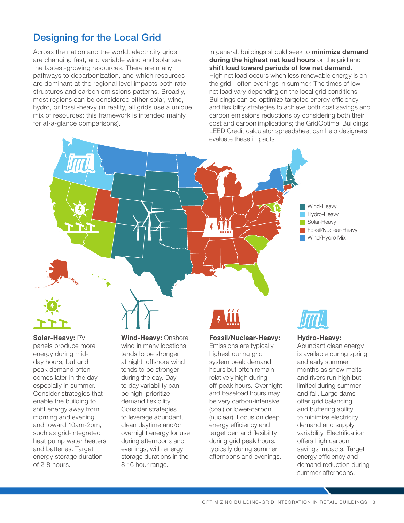# Designing for the Local Grid

Across the nation and the world, electricity grids are changing fast, and variable wind and solar are the fastest-growing resources. There are many pathways to decarbonization, and which resources are dominant at the regional level impacts both rate structures and carbon emissions patterns. Broadly, most regions can be considered either solar, wind, hydro, or fossil-heavy (in reality, all grids use a unique mix of resources; this framework is intended mainly for at-a-glance comparisons).

In general, buildings should seek to **minimize demand during the highest net load hours** on the grid and **shift load toward periods of low net demand.** High net load occurs when less renewable energy is on the grid—often evenings in summer. The times of low net load vary depending on the local grid conditions. Buildings can co-optimize targeted energy efficiency and flexibility strategies to achieve both cost savings and carbon emissions reductions by considering both their cost and carbon implications; the GridOptimal Buildings LEED Credit calculator spreadsheet can help designers evaluate these impacts.





**Solar-Heavy:** PV panels produce more energy during midday hours, but grid peak demand often comes later in the day, especially in summer. Consider strategies that enable the building to shift energy away from morning and evening and toward 10am-2pm, such as grid-integrated heat pump water heaters and batteries. Target energy storage duration of 2-8 hours.

**Wind-Heavy:** Onshore wind in many locations tends to be stronger at night; offshore wind tends to be stronger during the day. Day to day variability can be high: prioritize demand flexibility. Consider strategies to leverage abundant, clean daytime and/or overnight energy for use during afternoons and evenings, with energy storage durations in the 8-16 hour range.

#### **Fossil/Nuclear-Heavy:**

Emissions are typically highest during grid system peak demand hours but often remain relatively high during off-peak hours. Overnight and baseload hours may be very carbon-intensive (coal) or lower-carbon (nuclear). Focus on deep energy efficiency and target demand flexibility during grid peak hours, typically during summer afternoons and evenings.



#### **Hydro-Heavy:**

Abundant clean energy is available during spring and early summer months as snow melts and rivers run high but limited during summer and fall. Large dams offer grid balancing and buffering ability to minimize electricity demand and supply variability. Electrification offers high carbon savings impacts. Target energy efficiency and demand reduction during summer afternoons.